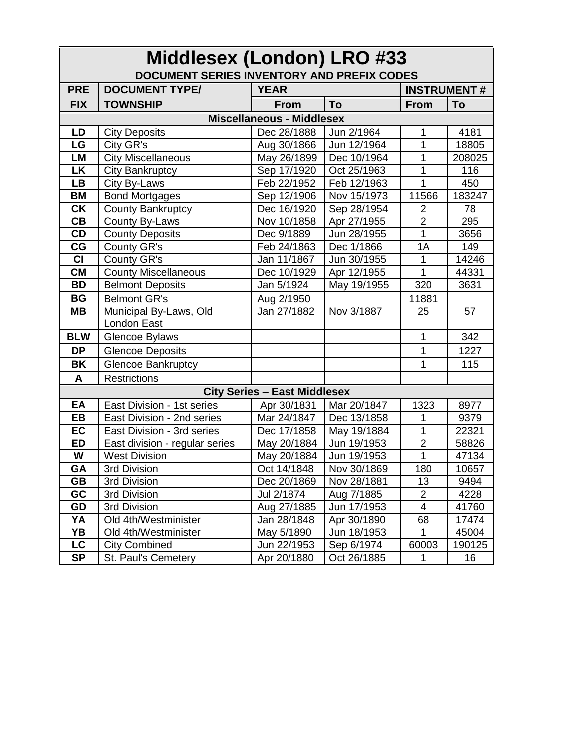| Middlesex (London) LRO #33                        |                                |                                     |                    |                |        |  |  |  |  |
|---------------------------------------------------|--------------------------------|-------------------------------------|--------------------|----------------|--------|--|--|--|--|
| <b>DOCUMENT SERIES INVENTORY AND PREFIX CODES</b> |                                |                                     |                    |                |        |  |  |  |  |
| <b>PRE</b>                                        | <b>DOCUMENT TYPE/</b>          | <b>YEAR</b>                         | <b>INSTRUMENT#</b> |                |        |  |  |  |  |
| <b>FIX</b>                                        | <b>TOWNSHIP</b>                | <b>From</b>                         | To                 | <b>From</b>    | To     |  |  |  |  |
| <b>Miscellaneous - Middlesex</b>                  |                                |                                     |                    |                |        |  |  |  |  |
| LD                                                | <b>City Deposits</b>           | Dec 28/1888                         | Jun 2/1964         | 1              | 4181   |  |  |  |  |
| LG                                                | City GR's                      | Aug 30/1866                         | Jun 12/1964        | 1              | 18805  |  |  |  |  |
| <b>LM</b>                                         | <b>City Miscellaneous</b>      | May 26/1899                         | Dec 10/1964        | 1              | 208025 |  |  |  |  |
| <b>LK</b>                                         | <b>City Bankruptcy</b>         | Sep 17/1920                         | Oct 25/1963        | 1              | 116    |  |  |  |  |
| <b>LB</b>                                         | City By-Laws                   | Feb 22/1952                         | Feb 12/1963        | 1              | 450    |  |  |  |  |
| <b>BM</b>                                         | <b>Bond Mortgages</b>          | Sep 12/1906                         | Nov 15/1973        | 11566          | 183247 |  |  |  |  |
| $\overline{\mathsf{CK}}$                          | <b>County Bankruptcy</b>       | Dec 16/1920                         | Sep 28/1954        | $\overline{2}$ | 78     |  |  |  |  |
| CB                                                | County By-Laws                 | Nov 10/1858                         | Apr 27/1955        | $\overline{2}$ | 295    |  |  |  |  |
| CD                                                | <b>County Deposits</b>         | Dec 9/1889                          | Jun 28/1955        | 1              | 3656   |  |  |  |  |
| CG                                                | County GR's                    | Feb 24/1863                         | Dec 1/1866         | 1A             | 149    |  |  |  |  |
| $\overline{c}$                                    | County GR's                    | Jan 11/1867                         | Jun 30/1955        | $\mathbf{1}$   | 14246  |  |  |  |  |
| $\overline{\text{CM}}$                            | <b>County Miscellaneous</b>    | Dec 10/1929                         | Apr 12/1955        | 1              | 44331  |  |  |  |  |
| <b>BD</b>                                         | <b>Belmont Deposits</b>        | Jan 5/1924                          | May 19/1955        | 320            | 3631   |  |  |  |  |
| <b>BG</b>                                         | <b>Belmont GR's</b>            | Aug 2/1950                          |                    | 11881          |        |  |  |  |  |
| <b>MB</b>                                         | Municipal By-Laws, Old         | Jan 27/1882                         | Nov 3/1887         | 25             | 57     |  |  |  |  |
|                                                   | London East                    |                                     |                    |                |        |  |  |  |  |
| <b>BLW</b>                                        | Glencoe Bylaws                 |                                     |                    | 1              | 342    |  |  |  |  |
| <b>DP</b>                                         | <b>Glencoe Deposits</b>        |                                     |                    | 1              | 1227   |  |  |  |  |
| <b>BK</b>                                         | <b>Glencoe Bankruptcy</b>      |                                     |                    | 1              | 115    |  |  |  |  |
| A                                                 | <b>Restrictions</b>            |                                     |                    |                |        |  |  |  |  |
|                                                   |                                | <b>City Series - East Middlesex</b> |                    |                |        |  |  |  |  |
| EA                                                | East Division - 1st series     | Apr 30/1831                         | Mar 20/1847        | 1323           | 8977   |  |  |  |  |
| <b>EB</b>                                         | East Division - 2nd series     | Mar 24/1847                         | Dec 13/1858        | 1              | 9379   |  |  |  |  |
| EC                                                | East Division - 3rd series     | Dec 17/1858                         | May 19/1884        | 1              | 22321  |  |  |  |  |
| <b>ED</b>                                         | East division - regular series | May 20/1884                         | Jun 19/1953        | $\overline{2}$ | 58826  |  |  |  |  |
| W                                                 | <b>West Division</b>           | May 20/1884                         | Jun 19/1953        | 1              | 47134  |  |  |  |  |
| GA                                                | 3rd Division                   | Oct 14/1848                         | Nov 30/1869        | 180            | 10657  |  |  |  |  |
| <b>GB</b>                                         | 3rd Division                   | Dec 20/1869                         | Nov 28/1881        | 13             | 9494   |  |  |  |  |
| GC                                                | 3rd Division                   | Jul 2/1874                          | Aug 7/1885         | $\overline{2}$ | 4228   |  |  |  |  |
| GD                                                | 3rd Division                   | Aug 27/1885                         | Jun 17/1953        | 4              | 41760  |  |  |  |  |
| YA                                                | Old 4th/Westminister           | Jan 28/1848                         | Apr 30/1890        | 68             | 17474  |  |  |  |  |
| YB                                                | Old 4th/Westminister           | May 5/1890                          | Jun 18/1953        | $\mathbf{1}$   | 45004  |  |  |  |  |
| LC                                                | <b>City Combined</b>           | Jun 22/1953                         | Sep 6/1974         | 60003          | 190125 |  |  |  |  |
| <b>SP</b>                                         | St. Paul's Cemetery            | Apr 20/1880                         | Oct 26/1885        | 1              | 16     |  |  |  |  |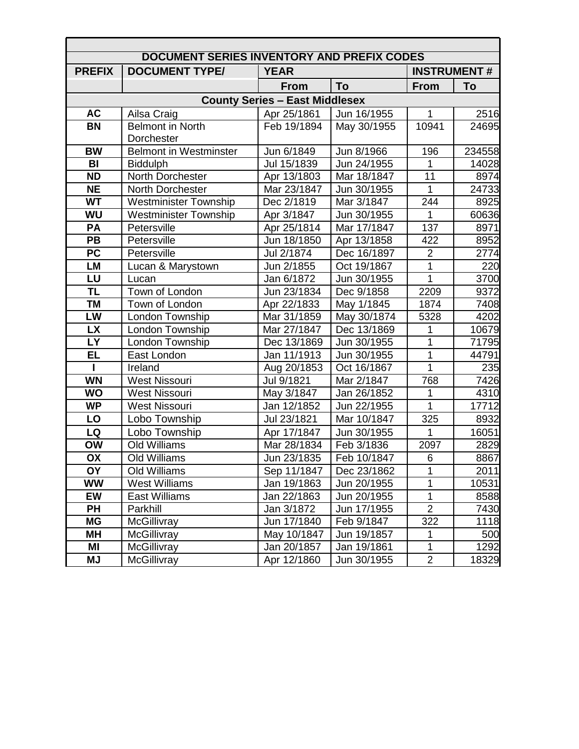| <b>DOCUMENT SERIES INVENTORY AND PREFIX CODES</b> |                               |             |                    |                  |        |  |  |  |  |
|---------------------------------------------------|-------------------------------|-------------|--------------------|------------------|--------|--|--|--|--|
| <b>PREFIX</b>                                     | <b>DOCUMENT TYPE/</b>         | <b>YEAR</b> | <b>INSTRUMENT#</b> |                  |        |  |  |  |  |
|                                                   |                               | <b>From</b> | To                 | <b>From</b>      | To     |  |  |  |  |
| <b>County Series - East Middlesex</b>             |                               |             |                    |                  |        |  |  |  |  |
| <b>AC</b>                                         | Ailsa Craig                   | Apr 25/1861 | Jun 16/1955        | $\mathbf{1}$     | 2516   |  |  |  |  |
| <b>BN</b>                                         | <b>Belmont in North</b>       | Feb 19/1894 | May 30/1955        | 10941            | 24695  |  |  |  |  |
|                                                   | <b>Dorchester</b>             |             |                    |                  |        |  |  |  |  |
| <b>BW</b>                                         | <b>Belmont in Westminster</b> | Jun 6/1849  | Jun 8/1966         | 196              | 234558 |  |  |  |  |
| BI                                                | <b>Biddulph</b>               | Jul 15/1839 | Jun 24/1955        | 1                | 14028  |  |  |  |  |
| <b>ND</b>                                         | North Dorchester              | Apr 13/1803 | Mar 18/1847        | 11               | 8974   |  |  |  |  |
| <b>NE</b>                                         | North Dorchester              | Mar 23/1847 | Jun 30/1955        | $\mathbf{1}$     | 24733  |  |  |  |  |
| <b>WT</b>                                         | <b>Westminister Township</b>  | Dec 2/1819  | Mar 3/1847         | 244              | 8925   |  |  |  |  |
| <b>WU</b>                                         | <b>Westminister Township</b>  | Apr 3/1847  | Jun 30/1955        | 1                | 60636  |  |  |  |  |
| PA                                                | Petersville                   | Apr 25/1814 | Mar 17/1847        | 137              | 8971   |  |  |  |  |
| PB                                                | Petersville                   | Jun 18/1850 | Apr 13/1858        | 422              | 8952   |  |  |  |  |
| <b>PC</b>                                         | Petersville                   | Jul 2/1874  | Dec 16/1897        | $\overline{2}$   | 2774   |  |  |  |  |
| <b>LM</b>                                         | Lucan & Marystown             | Jun 2/1855  | Oct 19/1867        | 1                | 220    |  |  |  |  |
| LU                                                | Lucan                         | Jan 6/1872  | Jun 30/1955        | $\overline{1}$   | 3700   |  |  |  |  |
| <b>TL</b>                                         | Town of London                | Jun 23/1834 | Dec 9/1858         | $\frac{1}{2209}$ | 9372   |  |  |  |  |
| <b>TM</b>                                         | Town of London                | Apr 22/1833 | May 1/1845         | 1874             | 7408   |  |  |  |  |
| LW                                                | London Township               | Mar 31/1859 | May 30/1874        | 5328             | 4202   |  |  |  |  |
| <b>LX</b>                                         | London Township               | Mar 27/1847 | Dec 13/1869        | 1                | 10679  |  |  |  |  |
| <b>LY</b>                                         | London Township               | Dec 13/1869 | Jun 30/1955        | 1                | 71795  |  |  |  |  |
| <b>EL</b>                                         | East London                   | Jan 11/1913 | Jun 30/1955        | 1                | 44791  |  |  |  |  |
| I.                                                | Ireland                       | Aug 20/1853 | Oct 16/1867        | 1                | 235    |  |  |  |  |
| <b>WN</b>                                         | <b>West Nissouri</b>          | Jul 9/1821  | Mar 2/1847         | 768              | 7426   |  |  |  |  |
| <b>WO</b>                                         | <b>West Nissouri</b>          | May 3/1847  | Jan 26/1852        | 1                | 4310   |  |  |  |  |
| <b>WP</b>                                         | <b>West Nissouri</b>          | Jan 12/1852 | Jun 22/1955        | $\overline{1}$   | 17712  |  |  |  |  |
| LO                                                | Lobo Township                 | Jul 23/1821 | Mar 10/1847        | 325              | 8932   |  |  |  |  |
| LQ                                                | Lobo Township                 | Apr 17/1847 | Jun 30/1955        | 1                | 16051  |  |  |  |  |
| <b>OW</b>                                         | <b>Old Williams</b>           | Mar 28/1834 | Feb 3/1836         | 2097             | 2829   |  |  |  |  |
| OX                                                | Old Williams                  | Jun 23/1835 | Feb 10/1847        | 6                | 8867   |  |  |  |  |
| <b>OY</b>                                         | Old Williams                  | Sep 11/1847 | Dec 23/1862        | 1                | 2011   |  |  |  |  |
| <b>WW</b>                                         | <b>West Williams</b>          | Jan 19/1863 | Jun 20/1955        | 1                | 10531  |  |  |  |  |
| EW                                                | <b>East Williams</b>          | Jan 22/1863 | Jun 20/1955        | 1                | 8588   |  |  |  |  |
| <b>PH</b>                                         | Parkhill                      | Jan 3/1872  | Jun 17/1955        | $\overline{2}$   | 7430   |  |  |  |  |
| MG                                                | McGillivray                   | Jun 17/1840 | Feb 9/1847         | 322              | 1118   |  |  |  |  |
| MН                                                | McGillivray                   | May 10/1847 | Jun 19/1857        | $\mathbf{1}$     | 500    |  |  |  |  |
| ΜI                                                | McGillivray                   | Jan 20/1857 | Jan 19/1861        | $\mathbf{1}$     | 1292   |  |  |  |  |
| <b>MJ</b>                                         | McGillivray                   | Apr 12/1860 | Jun 30/1955        | $\overline{2}$   | 18329  |  |  |  |  |